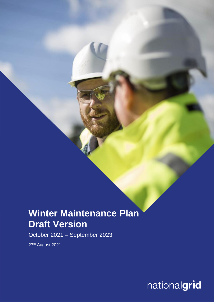# **Winter Maintenance Plan Draft Version**

October 2021 – September 2023

27<sup>th</sup> August 2021

nationalgrid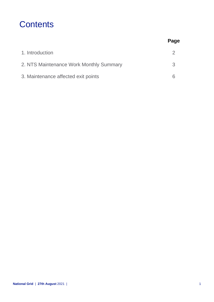### **Contents**

|                                         | Page |
|-----------------------------------------|------|
| 1. Introduction                         |      |
| 2. NTS Maintenance Work Monthly Summary | 3    |
| 3. Maintenance affected exit points     |      |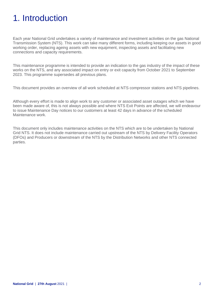## 1. Introduction

Each year National Grid undertakes a variety of maintenance and investment activities on the gas National Transmission System (NTS). This work can take many different forms, including keeping our assets in good working order, replacing ageing assets with new equipment, inspecting assets and facilitating new connections and capacity requirements.

This maintenance programme is intended to provide an indication to the gas industry of the impact of these works on the NTS, and any associated impact on entry or exit capacity from October 2021 to September 2023. This programme supersedes all previous plans.

This document provides an overview of all work scheduled at NTS compressor stations and NTS pipelines.

Although every effort is made to align work to any customer or associated asset outages which we have been made aware of, this is not always possible and where NTS Exit Points are affected, we will endeavour to issue Maintenance Day notices to our customers at least 42 days in advance of the scheduled Maintenance work.

This document only includes maintenance activities on the NTS which are to be undertaken by National Grid NTS. It does not include maintenance carried out upstream of the NTS by Delivery Facility Operators (DFOs) and Producers or downstream of the NTS by the Distribution Networks and other NTS connected parties.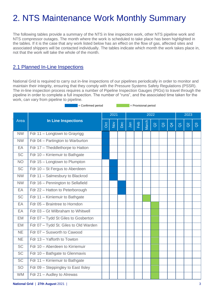# 2. NTS Maintenance Work Monthly Summary

The following tables provide a summary of the NTS in line inspection work, other NTS pipeline work and NTS compressor outages. The month where the work is scheduled to take place has been highlighted in the tables. If it is the case that any work listed below has an effect on the flow of gas, affected sites and associated shippers will be contacted individually. The tables indicate which month the work takes place in, not that the work will take the whole of the month.

### 2.1 Planned In-Line Inspections

National Grid is required to carry out in-line inspections of our pipelines periodically in order to monitor and maintain their integrity, ensuring that they comply with the Pressure Systems Safety Regulations (PSSR). The in-line inspection process requires a number of Pipeline Inspection Gauges (PIGs) to travel through the pipeline in order to complete a full inspection. The number of "runs", and the associated time taken for the work, can vary from pipeline to pipeline.

= Confirmed period = Provisional period

| Area                                  |                            |                  |      | 2022 |     |       |          |                |                |                   |          |                |
|---------------------------------------|----------------------------|------------------|------|------|-----|-------|----------|----------------|----------------|-------------------|----------|----------------|
|                                       | $\overline{S}$             | $\sum_{i=1}^{n}$ | Dec  | Jan  | Feb | March | $\alpha$ | $\mathbb{S}^3$ | $\overline{d}$ | $\overline{\eth}$ | $\alpha$ | $\overline{a}$ |
| Fdr 11 - Longtown to Grayrigg         |                            |                  |      |      |     |       |          |                |                |                   |          |                |
| Fdr 04 - Partington to Warburton      |                            |                  |      |      |     |       |          |                |                |                   |          |                |
| Fdr 17 - Theddlethorpe to Hatton      |                            |                  |      |      |     |       |          |                |                |                   |          |                |
| Fdr 10 - Kirriemuir to Bathgate       |                            |                  |      |      |     |       |          |                |                |                   |          |                |
| Fdr 15 - Longtown to Plumpton         |                            |                  |      |      |     |       |          |                |                |                   |          |                |
| Fdr 10 - St Fergus to Aberdeen        |                            |                  |      |      |     |       |          |                |                |                   |          |                |
| Fdr 11 - Salmesbury to Blackrod       |                            |                  |      |      |     |       |          |                |                |                   |          |                |
| Fdr 16 - Pennington to Sellafield     |                            |                  |      |      |     |       |          |                |                |                   |          |                |
| Fdr 22 - Hatton to Peterborough       |                            |                  |      |      |     |       |          |                |                |                   |          |                |
| Fdr 11 - Kirriemuir to Bathgate       |                            |                  |      |      |     |       |          |                |                |                   |          |                |
| Fdr 05 - Braintree to Horndon         |                            |                  |      |      |     |       |          |                |                |                   |          |                |
| Fdr 03 - Gt Wilbraham to Whitwell     |                            |                  |      |      |     |       |          |                |                |                   |          |                |
| Fdr 07 - Tydd St Giles to Gosberton   |                            |                  |      |      |     |       |          |                |                |                   |          |                |
| Fdr 07 - Tydd St. Giles to Old Warden |                            |                  |      |      |     |       |          |                |                |                   |          |                |
| Fdr 07 - Susworth to Cawood           |                            |                  |      |      |     |       |          |                |                |                   |          |                |
| Fdr 13 - Yafforth to Towton           |                            |                  |      |      |     |       |          |                |                |                   |          |                |
| Fdr 10 - Aberdeen to Kirriemuir       |                            |                  |      |      |     |       |          |                |                |                   |          |                |
| Fdr 10 - Bathgate to Glenmavis        |                            |                  |      |      |     |       |          |                |                |                   |          |                |
| Fdr 11 - Kirriemuir to Bathgate       |                            |                  |      |      |     |       |          |                |                |                   |          |                |
| Fdr 09 - Steppingley to East IIsley   |                            |                  |      |      |     |       |          |                |                |                   |          |                |
| Fdr 21 - Audley to Alrewas            |                            |                  |      |      |     |       |          |                |                |                   |          |                |
|                                       | <b>In Line Inspections</b> |                  | 2021 |      |     |       |          |                |                |                   |          | 2023           |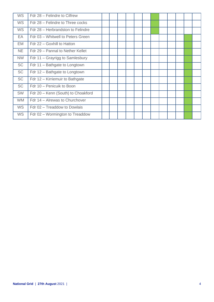| <b>WS</b> | Fdr 28 - Felindre to Cilfrew       |  |  |  |  |  |  |
|-----------|------------------------------------|--|--|--|--|--|--|
| <b>WS</b> | Fdr 28 - Felindre to Three cocks   |  |  |  |  |  |  |
| <b>WS</b> | Fdr 28 - Herbrandston to Felindre  |  |  |  |  |  |  |
| EA        | Fdr 03 - Whitwell to Peters Green  |  |  |  |  |  |  |
| EM        | Fdr 22 - Goxhill to Hatton         |  |  |  |  |  |  |
| <b>NE</b> | Fdr 29 - Pannal to Nether Kellet   |  |  |  |  |  |  |
| <b>NW</b> | Fdr 11 – Grayrigg to Samlesbury    |  |  |  |  |  |  |
| <b>SC</b> | Fdr 11 - Bathgate to Longtown      |  |  |  |  |  |  |
| <b>SC</b> | Fdr 12 - Bathgate to Longtown      |  |  |  |  |  |  |
| <b>SC</b> | Fdr 12 - Kirriemuir to Bathgate    |  |  |  |  |  |  |
| <b>SC</b> | Fdr 10 - Penicuik to Boon          |  |  |  |  |  |  |
| <b>SW</b> | Fdr 20 - Kenn (South) to Choakford |  |  |  |  |  |  |
| <b>WM</b> | Fdr 14 - Alrewas to Churchover     |  |  |  |  |  |  |
| <b>WS</b> | Fdr 02 - Treaddow to Dowlais       |  |  |  |  |  |  |
| <b>WS</b> | Fdr 02 – Wormington to Treaddow    |  |  |  |  |  |  |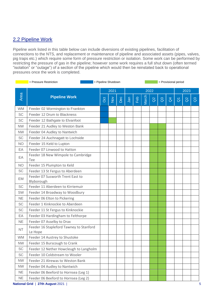### 2.2 Pipeline Work

Pipeline work listed in this table below can include diversions of existing pipelines, facilitation of connections to the NTS, and replacement or maintenance of pipeline and associated assets (pipes, valves, pig traps etc.) which require some form of pressure restriction or isolation. Some work can be performed by restricting the pressure of gas in the pipeline; however some work requires a full shut down (often termed "isolation" or "outage") of a section of the pipeline which would then be reinstated back to operational pressures once the work is completed.

|           | = Pressure Restriction                             | = Pipeline Shutdown |        |     |     |     |       |          |              | = Provisional period |                     |          |                |  |  |
|-----------|----------------------------------------------------|---------------------|--------|-----|-----|-----|-------|----------|--------------|----------------------|---------------------|----------|----------------|--|--|
|           |                                                    | 2021                |        |     |     |     |       | 2022     |              |                      |                     |          |                |  |  |
| Area      | <b>Pipeline Work</b>                               |                     | $\sum$ | Dec | Jan | Feb | March | $\alpha$ | $\mathbb{S}$ | $\beta$              | $\overline{\sigma}$ | $\alpha$ | $\mathbb{S}^3$ |  |  |
| <b>WM</b> | Feeder 02 Wormington to Frankton                   |                     |        |     |     |     |       |          |              |                      |                     |          |                |  |  |
| <b>SC</b> | Feeder 12 Drum to Blackness                        |                     |        |     |     |     |       |          |              |                      |                     |          |                |  |  |
| SC        | Feeder 12 Bathgate to Elvanfoot                    |                     |        |     |     |     |       |          |              |                      |                     |          |                |  |  |
| <b>NW</b> | Feeder 21 Audley to Weston Bank                    |                     |        |     |     |     |       |          |              |                      |                     |          |                |  |  |
| <b>NW</b> | Feeder 04 Audley to Nantwich                       |                     |        |     |     |     |       |          |              |                      |                     |          |                |  |  |
| SC        | Feeder 24 Auchnagatt to Lochside                   |                     |        |     |     |     |       |          |              |                      |                     |          |                |  |  |
| <b>NO</b> | Feeder 15 Keld to Lupton                           |                     |        |     |     |     |       |          |              |                      |                     |          |                |  |  |
| EA        | Feeder 07 Linwood to Hatton                        |                     |        |     |     |     |       |          |              |                      |                     |          |                |  |  |
| EA        | Feeder 18 New Wimpole to Cambridge<br>Tee          |                     |        |     |     |     |       |          |              |                      |                     |          |                |  |  |
| <b>NO</b> | Feeder 15 Plumpton to Keld                         |                     |        |     |     |     |       |          |              |                      |                     |          |                |  |  |
| <b>SC</b> | Feeder 13 St Fergus to Aberdeen                    |                     |        |     |     |     |       |          |              |                      |                     |          |                |  |  |
| EM        | Feeder 07 Susworth Trent East to<br>Blyborough     |                     |        |     |     |     |       |          |              |                      |                     |          |                |  |  |
| <b>SC</b> | Feeder 11 Aberdeen to Kirriemuir                   |                     |        |     |     |     |       |          |              |                      |                     |          |                |  |  |
| SW        | Feeder 14 Broadway to Woodbury                     |                     |        |     |     |     |       |          |              |                      |                     |          |                |  |  |
| <b>NE</b> | Feeder 06 Elton to Pickering                       |                     |        |     |     |     |       |          |              |                      |                     |          |                |  |  |
| <b>SC</b> | Feeder 1 Kinknockie to Aberdeen                    |                     |        |     |     |     |       |          |              |                      |                     |          |                |  |  |
| SC        | Feeder 11 St Fergus to Kinknockie                  |                     |        |     |     |     |       |          |              |                      |                     |          |                |  |  |
| EA        | Feeder 03 Hardingham to Felthorpe                  |                     |        |     |     |     |       |          |              |                      |                     |          |                |  |  |
| <b>NE</b> | Feeder 07 Asselby to Drax                          |                     |        |     |     |     |       |          |              |                      |                     |          |                |  |  |
| <b>NT</b> | Feeder 16 Stapleford Tawney to Stanford<br>Le Hope |                     |        |     |     |     |       |          |              |                      |                     |          |                |  |  |
| <b>WM</b> | Feeder 14 Austrey to Shustoke                      |                     |        |     |     |     |       |          |              |                      |                     |          |                |  |  |
| <b>NW</b> | Feeder 15 Burscough to Crank                       |                     |        |     |     |     |       |          |              |                      |                     |          |                |  |  |
| SC        | Feeder 12 Nether Howcleugh to Langholm             |                     |        |     |     |     |       |          |              |                      |                     |          |                |  |  |
| SC        | Feeder 10 Coldstream to Wooler                     |                     |        |     |     |     |       |          |              |                      |                     |          |                |  |  |
| <b>NW</b> | Feeder 21 Alrewas to Weston Bank                   |                     |        |     |     |     |       |          |              |                      |                     |          |                |  |  |
| <b>NW</b> | Feeder 04 Audley to Nantwich                       |                     |        |     |     |     |       |          |              |                      |                     |          |                |  |  |
| <b>NE</b> | Feeder 06 Beeford to Hornsea (Leg 1)               |                     |        |     |     |     |       |          |              |                      |                     |          |                |  |  |
| <b>NE</b> | Feeder 06 Beeford to Hornsea (Leg 2)               |                     |        |     |     |     |       |          |              |                      |                     |          |                |  |  |

**National Grid** | **27th August** 2021 | 5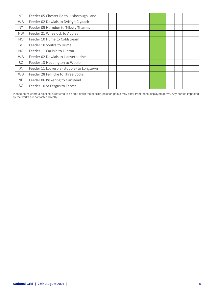| <b>NT</b> | Feeder 05 Chester Rd to Luxborough Lane   |  |  |  |  |  |  |
|-----------|-------------------------------------------|--|--|--|--|--|--|
| <b>WS</b> | Feeder 02 Dowlais to Dyffryn Clydach      |  |  |  |  |  |  |
| NT        | Feeder 05 Horndon to Tilbury Thames       |  |  |  |  |  |  |
| <b>NW</b> | Feeder 21 Wheelock to Audley              |  |  |  |  |  |  |
| <b>NO</b> | Feeder 10 Hume to Coldstream              |  |  |  |  |  |  |
| <b>SC</b> | Feeder 10 Soutra to Hume                  |  |  |  |  |  |  |
| <b>NO</b> | Feeder 11 Carlisle to Lupton              |  |  |  |  |  |  |
| <b>WS</b> | Feeder 02 Dowlais to Llanvetherine        |  |  |  |  |  |  |
| <b>SC</b> | Feeder 13 Haddington to Wooler            |  |  |  |  |  |  |
| <b>SC</b> | Feeder 11 Lockerbie (stopple) to Longtown |  |  |  |  |  |  |
| <b>WS</b> | Feeder 28 Felindre to Three Cocks         |  |  |  |  |  |  |
| <b>NE</b> | Feeder 06 Pickering to Ganstead           |  |  |  |  |  |  |
| SC        | Feeder 10 St Fergus to Tarves             |  |  |  |  |  |  |

Please note: where a pipeline is required to be shut down the specific isolation points may differ from those displayed above. Any parties impacted by the works are contacted directly.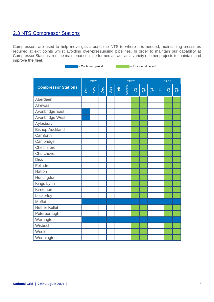### 2.3 NTS Compressor Stations

Compressors are used to help move gas around the NTS to where it is needed, maintaining pressures required at exit points whilst avoiding over-pressurising pipelines. In order to maintain our capability at Compressor Stations, routine maintenance is performed as well as a variety of other projects to maintain and improve the fleet.

= Confirmed period = Provisional period

|                            |     | 2021                           |     |     |     | 2022  | 2023     |                |                |                     |          |                |
|----------------------------|-----|--------------------------------|-----|-----|-----|-------|----------|----------------|----------------|---------------------|----------|----------------|
| <b>Compressor Stations</b> | Oct | $\mathop{\mathsf{S}}\nolimits$ | Dec | Jan | Feb | March | $\alpha$ | $\mathbb{S}^3$ | $\overline{d}$ | $\overline{\delta}$ | $\alpha$ | $\overline{a}$ |
| Aberdeen                   |     |                                |     |     |     |       |          |                |                |                     |          |                |
| Alrewas                    |     |                                |     |     |     |       |          |                |                |                     |          |                |
| Avonbridge East            |     |                                |     |     |     |       |          |                |                |                     |          |                |
| Avonbridge West            |     |                                |     |     |     |       |          |                |                |                     |          |                |
| Aylesbury                  |     |                                |     |     |     |       |          |                |                |                     |          |                |
| <b>Bishop Auckland</b>     |     |                                |     |     |     |       |          |                |                |                     |          |                |
| Carnforth                  |     |                                |     |     |     |       |          |                |                |                     |          |                |
| Cambridge                  |     |                                |     |     |     |       |          |                |                |                     |          |                |
| Chelmsford                 |     |                                |     |     |     |       |          |                |                |                     |          |                |
| Churchover                 |     |                                |     |     |     |       |          |                |                |                     |          |                |
| <b>Diss</b>                |     |                                |     |     |     |       |          |                |                |                     |          |                |
| Felindre                   |     |                                |     |     |     |       |          |                |                |                     |          |                |
| Hatton                     |     |                                |     |     |     |       |          |                |                |                     |          |                |
| Huntingdon                 |     |                                |     |     |     |       |          |                |                |                     |          |                |
| Kings Lynn                 |     |                                |     |     |     |       |          |                |                |                     |          |                |
| Kirriemuir                 |     |                                |     |     |     |       |          |                |                |                     |          |                |
| Lockerley                  |     |                                |     |     |     |       |          |                |                |                     |          |                |
| Moffat                     |     |                                |     |     |     |       |          |                |                |                     |          |                |
| <b>Nether Kellet</b>       |     |                                |     |     |     |       |          |                |                |                     |          |                |
| Peterborough               |     |                                |     |     |     |       |          |                |                |                     |          |                |
| Warrington                 |     |                                |     |     |     |       |          |                |                |                     |          |                |
| Wisbech                    |     |                                |     |     |     |       |          |                |                |                     |          |                |
| Wooler                     |     |                                |     |     |     |       |          |                |                |                     |          |                |
| Wormington                 |     |                                |     |     |     |       |          |                |                |                     |          |                |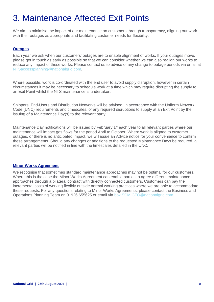## 3. Maintenance Affected Exit Points

We aim to minimise the impact of our maintenance on customers through transparency, aligning our work with their outages as appropriate and facilitating customer needs for flexibility.

#### **Outages**

Each year we ask when our customers' outages are to enable alignment of works. If your outages move, please get in touch as early as possible so that we can consider whether we can also realign our works to reduce any impact of these works. Please contact us to advise of any change to outage periods via email at [NTSaccessplanning@nationalgrid.com.](mailto:NTSaccessplanning@nationalgrid.com)

Where possible, work is co-ordinated with the end user to avoid supply disruption, however in certain circumstances it may be necessary to schedule work at a time which may require disrupting the supply to an Exit Point whilst the NTS maintenance is undertaken.

Shippers, End-Users and Distribution Networks will be advised, in accordance with the Uniform Network Code (UNC) requirements and timescales, of any required disruptions to supply at an Exit Point by the issuing of a Maintenance Day(s) to the relevant party.

Maintenance Day notifications will be issued by February 1<sup>st</sup> each year to all relevant parties where our maintenance will impact gas flows for the period April to October. Where work is aligned to customer outages, or there is no anticipated impact, we will issue an Advice notice for your convenience to confirm these arrangements. Should any changes or additions to the requested Maintenance Days be required, all relevant parties will be notified in line with the timescales detailed in the UNC.

#### **Minor Works Agreement**

We recognise that sometimes standard maintenance approaches may not be optimal for our customers. Where this is the case the Minor Works Agreement can enable parties to agree different maintenance approaches through a bilateral contract with directly connected customers. Customers can pay the incremental costs of working flexibly outside normal working practices where we are able to accommodate these requests. For any questions relating to Minor Works Agreements, please contact the Business and Operations Planning Team on 01926 655625 or email via [box.SCM.GTO@nationalgrid.com.](mailto:box.SCM.GTO@nationalgrid.com)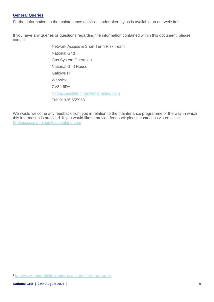#### **General Queries**

Further information on the maintenance activities undertaken by us is available on our website<sup>1</sup>.

If you have any queries or questions regarding the information contained within this document, please contact:

> Network Access & Short Term Risk Team National Grid Gas System Operation National Grid House Gallows Hill **Warwick** CV34 6DA [NTSaccessplanning@nationalgrid.com](mailto:NTSaccessplanning@nationalgrid.com) Tel: 01926 655958

We would welcome any feedback from you in relation to the maintenance programme or the way in which this information is provided. If you would like to provide feedback please contact us via email at: [NTSaccessplanning@nationalgrid.com](mailto:NTSaccessplanning@nationalgrid.com)

<sup>1</sup> <https://www.nationalgridgas.com/data-and-operations/maintenance>